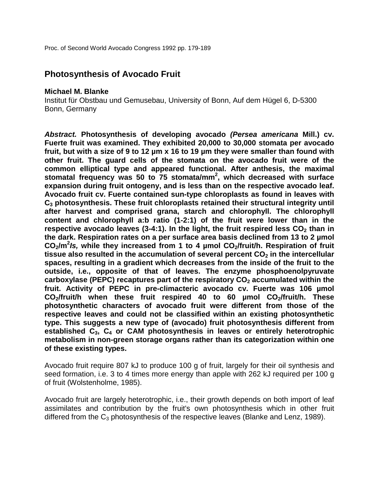# **Photosynthesis of Avocado Fruit**

#### **Michael M. Blanke**

Institut für Obstbau und Gemusebau, University of Bonn, Auf dem Hügel 6, D-5300 Bonn, Germany

*Abstract.* **Photosynthesis of developing avocado** *(Persea americana* **Mill.) cv. Fuerte fruit was examined. They exhibited 20,000 to 30,000 stomata per avocado fruit, but with a size of 9 to 12 µm x 16 to 19 µm they were smaller than found with other fruit. The guard cells of the stomata on the avocado fruit were of the common elliptical type and appeared functional. After anthesis, the maximal stomatal frequency was 50 to 75 stomata/mm<sup>2</sup> , which decreased with surface expansion during fruit ontogeny, and is less than on the respective avocado leaf. Avocado fruit cv. Fuerte contained sun-type chloroplasts as found in leaves with C3 photosynthesis. These fruit chloroplasts retained their structural integrity until after harvest and comprised grana, starch and chlorophyll. The chlorophyll content and chlorophyll a:b ratio (1-2:1) of the fruit were lower than in the respective avocado leaves (3-4:1). In the light, the fruit respired less**  $CO<sub>2</sub>$  **than in the dark. Respiration rates on a per surface area basis declined from 13 to 2 µmol**  CO<sub>2</sub>/m<sup>2</sup>/s, while they increased from 1 to 4 µmol CO<sub>2</sub>/fruit/h. Respiration of fruit tissue also resulted in the accumulation of several percent CO<sub>2</sub> in the intercellular **spaces, resulting in a gradient which decreases from the inside of the fruit to the outside, i.e., opposite of that of leaves. The enzyme phosphoenolpyruvate**  carboxylase (PEPC) recaptures part of the respiratory CO<sub>2</sub> accumulated within the **fruit. Activity of PEPC in pre-climacteric avocado cv. Fuerte was 106 µmol**  CO<sub>2</sub>/fruit/h when these fruit respired 40 to 60 umol CO<sub>2</sub>/fruit/h. These **photosynthetic characters of avocado fruit were different from those of the respective leaves and could not be classified within an existing photosynthetic type. This suggests a new type of (avocado) fruit photosynthesis different from established C3, C4 or CAM photosynthesis in leaves or entirely heterotrophic metabolism in non-green storage organs rather than its categorization within one of these existing types.**

Avocado fruit require 807 kJ to produce 100 g of fruit, largely for their oil synthesis and seed formation, i.e. 3 to 4 times more energy than apple with 262 kJ required per 100 g of fruit (Wolstenholme, 1985).

Avocado fruit are largely heterotrophic, i.e., their growth depends on both import of leaf assimilates and contribution by the fruit's own photosynthesis which in other fruit differed from the  $C_3$  photosynthesis of the respective leaves (Blanke and Lenz, 1989).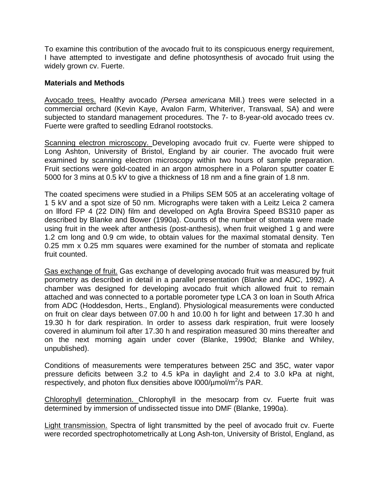To examine this contribution of the avocado fruit to its conspicuous energy requirement, I have attempted to investigate and define photosynthesis of avocado fruit using the widely grown cv. Fuerte.

#### **Materials and Methods**

Avocado trees. Healthy avocado *(Persea americana* Mill.) trees were selected in a commercial orchard (Kevin Kaye, Avalon Farm, Whiteriver, Transvaal, SA) and were subjected to standard management procedures. The 7- to 8-year-old avocado trees cv. Fuerte were grafted to seedling Edranol rootstocks.

Scanning electron microscopy. Developing avocado fruit cv. Fuerte were shipped to Long Ashton, University of Bristol, England by air courier. The avocado fruit were examined by scanning electron microscopy within two hours of sample preparation. Fruit sections were gold-coated in an argon atmosphere in a Polaron sputter coater E 5000 for 3 mins at 0.5 kV to give a thickness of 18 nm and a fine grain of 1.8 nm.

The coated specimens were studied in a Philips SEM 505 at an accelerating voltage of 1 5 kV and a spot size of 50 nm. Micrographs were taken with a Leitz Leica 2 camera on llford FP 4 (22 DIN) film and developed on Agfa Brovira Speed BS310 paper as described by Blanke and Bower (1990a). Counts of the number of stomata were made using fruit in the week after anthesis (post-anthesis), when fruit weighed 1 g and were 1.2 cm long and 0.9 cm wide, to obtain values for the maximal stomatal density. Ten 0.25 mm x 0.25 mm squares were examined for the number of stomata and replicate fruit counted.

Gas exchange of fruit. Gas exchange of developing avocado fruit was measured by fruit porometry as described in detail in a parallel presentation (Blanke and ADC, 1992). A chamber was designed for developing avocado fruit which allowed fruit to remain attached and was connected to a portable porometer type LCA 3 on loan in South Africa from ADC (Hoddesdon, Herts., England). Physiological measurements were conducted on fruit on clear days between 07.00 h and 10.00 h for light and between 17.30 h and 19.30 h for dark respiration. In order to assess dark respiration, fruit were loosely covered in aluminum foil after 17.30 h and respiration measured 30 mins thereafter and on the next morning again under cover (Blanke, 1990d; Blanke and Whiley, unpublished).

Conditions of measurements were temperatures between 25C and 35C, water vapor pressure deficits between 3.2 to 4.5 kPa in daylight and 2.4 to 3.0 kPa at night, respectively, and photon flux densities above  $1000/\mu$ mol/m<sup>2</sup>/s PAR.

Chlorophyll determination. Chlorophyll in the mesocarp from cv. Fuerte fruit was determined by immersion of undissected tissue into DMF (Blanke, 1990a).

Light transmission. Spectra of light transmitted by the peel of avocado fruit cv. Fuerte were recorded spectrophotometrically at Long Ash-ton, University of Bristol, England, as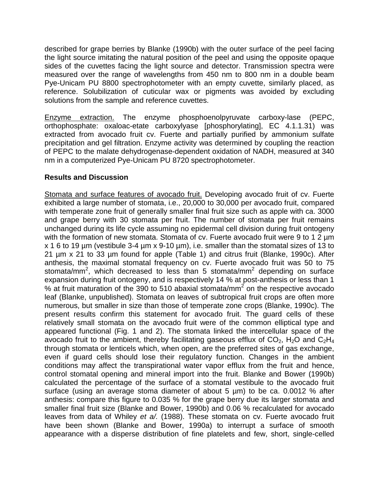described for grape berries by Blanke (1990b) with the outer surface of the peel facing the light source imitating the natural position of the peel and using the opposite opaque sides of the cuvettes facing the light source and detector. Transmission spectra were measured over the range of wavelengths from 450 nm to 800 nm in a double beam Pye-Unicam PU 8800 spectrophotometer with an empty cuvette, similarly placed, as reference. Solubilization of cuticular wax or pigments was avoided by excluding solutions from the sample and reference cuvettes.

Enzyme extraction. The enzyme phosphoenolpyruvate carboxy-lase (PEPC, orthophosphate: oxaloac-etate carboxylyase [phosphorylating], EC 4.1.1.31) was extracted from avocado fruit cv. Fuerte and partially purified by ammonium sulfate precipitation and gel filtration. Enzyme activity was determined by coupling the reaction of PEPC to the malate dehydrogenase-dependent oxidation of NADH, measured at 340 nm in a computerized Pye-Unicam PU 8720 spectrophotometer.

# **Results and Discussion**

Stomata and surface features of avocado fruit. Developing avocado fruit of cv. Fuerte exhibited a large number of stomata, i.e., 20,000 to 30,000 per avocado fruit, compared with temperate zone fruit of generally smaller final fruit size such as apple with ca. 3000 and grape berry with 30 stomata per fruit. The number of stomata per fruit remains unchanged during its life cycle assuming no epidermal cell division during fruit ontogeny with the formation of new stomata. Stomata of cv. Fuerte avocado fruit were 9 to 1 2 µm x 1 6 to 19 µm (vestibule 3-4 µm x 9-10 µm), i.e. smaller than the stomatal sizes of 13 to 21 µm x 21 to 33 µm found for apple (Table 1) and citrus fruit (Blanke, 1990c). After anthesis, the maximal stomatal frequency on cv. Fuerte avocado fruit was 50 to 75 stomata/mm<sup>2</sup>, which decreased to less than 5 stomata/mm<sup>2</sup> depending on surface expansion during fruit ontogeny, and is respectively 14 % at post-anthesis or less than 1 % at fruit maturation of the 390 to 510 abaxial stomata/mm<sup>2</sup> on the respective avocado leaf (Blanke, unpublished). Stomata on leaves of subtropical fruit crops are often more numerous, but smaller in size than those of temperate zone crops (Blanke, 1990c). The present results confirm this statement for avocado fruit. The guard cells of these relatively small stomata on the avocado fruit were of the common elliptical type and appeared functional (Fig. 1 and 2). The stomata linked the intercellular space of the avocado fruit to the ambient, thereby facilitating gaseous efflux of  $CO<sub>2</sub>$ , H<sub>2</sub>O and  $C<sub>2</sub>H<sub>4</sub>$ through stomata or lenticels which, when open, are the preferred sites of gas exchange, even if guard cells should lose their regulatory function. Changes in the ambient conditions may affect the transpirational water vapor efflux from the fruit and hence, control stomatal opening and mineral import into the fruit. Blanke and Bower (1990b) calculated the percentage of the surface of a stomatal vestibule to the avocado fruit surface (using an average stoma diameter of about 5  $\mu$ m) to be ca. 0.0012 % after anthesis: compare this figure to 0.035 % for the grape berry due its larger stomata and smaller final fruit size (Blanke and Bower, 1990b) and 0.06 % recalculated for avocado leaves from data of Whiley *et a/.* (1988). These stomata on cv. Fuerte avocado fruit have been shown (Blanke and Bower, 1990a) to interrupt a surface of smooth appearance with a disperse distribution of fine platelets and few, short, single-celled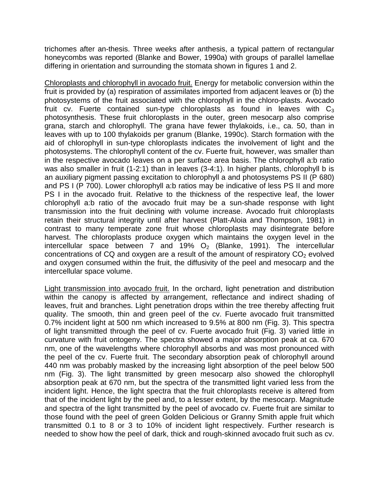trichomes after an-thesis. Three weeks after anthesis, a typical pattern of rectangular honeycombs was reported (Blanke and Bower, 1990a) with groups of parallel lamellae differing in orientation and surrounding the stomata shown in figures 1 and 2.

Chloroplasts and chlorophyll in avocado fruit. Energy for metabolic conversion within the fruit is provided by (a) respiration of assimilates imported from adjacent leaves or (b) the photosystems of the fruit associated with the chlorophyll in the chloro-plasts. Avocado fruit cv. Fuerte contained sun-type chloroplasts as found in leaves with  $C_3$ photosynthesis. These fruit chloroplasts in the outer, green mesocarp also comprise grana, starch and chlorophyll. The grana have fewer thylakoids, i.e., ca. 50, than in leaves with up to 100 thylakoids per granum (Blanke, 1990c). Starch formation with the aid of chlorophyll in sun-type chloroplasts indicates the involvement of light and the photosystems. The chlorophyll content of the cv. Fuerte fruit, however, was smaller than in the respective avocado leaves on a per surface area basis. The chlorophyll a:b ratio was also smaller in fruit (1-2:1) than in leaves (3-4:1). In higher plants, chlorophyll b is an auxiliary pigment passing excitation to chlorophyll a and photosystems PS II (P 680) and PS I (P 700). Lower chlorophyll a:b ratios may be indicative of less PS II and more PS I in the avocado fruit. Relative to the thickness of the respective leaf, the lower chlorophyll a:b ratio of the avocado fruit may be a sun-shade response with light transmission into the fruit declining with volume increase. Avocado fruit chloroplasts retain their structural integrity until after harvest (Platt-Aloia and Thompson, 1981) in contrast to many temperate zone fruit whose chloroplasts may disintegrate before harvest. The chloroplasts produce oxygen which maintains the oxygen level in the intercellular space between 7 and 19%  $O<sub>2</sub>$  (Blanke, 1991). The intercellular concentrations of CQ and oxygen are a result of the amount of respiratory  $CO<sub>2</sub>$  evolved and oxygen consumed within the fruit, the diffusivity of the peel and mesocarp and the intercellular space volume.

Light transmission into avocado fruit. In the orchard, light penetration and distribution within the canopy is affected by arrangement, reflectance and indirect shading of leaves, fruit and branches. Light penetration drops within the tree thereby affecting fruit quality. The smooth, thin and green peel of the cv. Fuerte avocado fruit transmitted 0.7% incident light at 500 nm which increased to 9.5% at 800 nm (Fig. 3). This spectra of light transmitted through the peel of cv. Fuerte avocado fruit (Fig. 3) varied little in curvature with fruit ontogeny. The spectra showed a major absorption peak at ca. 670 nm, one of the wavelengths where chlorophyll absorbs and was most pronounced with the peel of the cv. Fuerte fruit. The secondary absorption peak of chlorophyll around 440 nm was probably masked by the increasing light absorption of the peel below 500 nm (Fig. 3). The light transmitted by green mesocarp also showed the chlorophyll absorption peak at 670 nm, but the spectra of the transmitted light varied less from the incident light. Hence, the light spectra that the fruit chloroplasts receive is altered from that of the incident light by the peel and, to a lesser extent, by the mesocarp. Magnitude and spectra of the light transmitted by the peel of avocado cv. Fuerte fruit are similar to those found with the peel of green Golden Delicious or Granny Smith apple fruit which transmitted 0.1 to 8 or 3 to 10% of incident light respectively. Further research is needed to show how the peel of dark, thick and rough-skinned avocado fruit such as cv.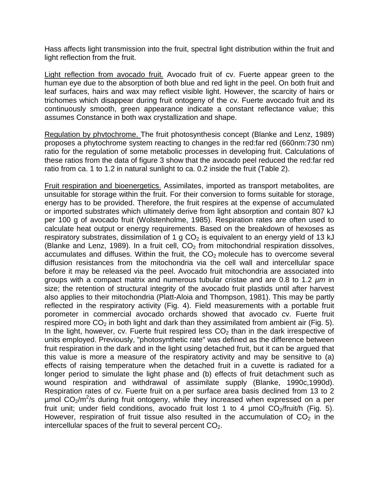Hass affects light transmission into the fruit, spectral light distribution within the fruit and light reflection from the fruit.

Light reflection from avocado fruit. Avocado fruit of cv. Fuerte appear green to the human eye due to the absorption of both blue and red light in the peel. On both fruit and leaf surfaces, hairs and wax may reflect visible light. However, the scarcity of hairs or trichomes which disappear during fruit ontogeny of the cv. Fuerte avocado fruit and its continuously smooth, green appearance indicate a constant reflectance value; this assumes Constance in both wax crystallization and shape.

Regulation by phvtochrome. The fruit photosynthesis concept (Blanke and Lenz, 1989) proposes a phytochrome system reacting to changes in the red:far red (660nm:730 nm) ratio for the regulation of some metabolic processes in developing fruit. Calculations of these ratios from the data of figure 3 show that the avocado peel reduced the red:far red ratio from ca. 1 to 1.2 in natural sunlight to ca. 0.2 inside the fruit (Table 2).

Fruit respiration and bioenergetics. Assimilates, imported as transport metabolites, are unsuitable for storage within the fruit. For their conversion to forms suitable for storage, energy has to be provided. Therefore, the fruit respires at the expense of accumulated or imported substrates which ultimately derive from light absorption and contain 807 kJ per 100 g of avocado fruit (Wolstenholme, 1985). Respiration rates are often used to calculate heat output or energy requirements. Based on the breakdown of hexoses as respiratory substrates, dissimilation of 1 g  $CO<sub>2</sub>$  is equivalent to an energy yield of 13 kJ (Blanke and Lenz, 1989). In a fruit cell,  $CO<sub>2</sub>$  from mitochondrial respiration dissolves, accumulates and diffuses. Within the fruit, the  $CO<sub>2</sub>$  molecule has to overcome several diffusion resistances from the mitochondria via the cell wall and intercellular space before it may be released via the peel. Avocado fruit mitochondria are associated into groups with a compact matrix and numerous tubular cristae and are 0.8 to 1.2 *µm* in size; the retention of structural integrity of the avocado fruit plastids until after harvest also applies to their mitochondria (Platt-Aloia and Thompson, 1981). This may be partly reflected in the respiratory activity (Fig. 4). Field measurements with a portable fruit porometer in commercial avocado orchards showed that avocado cv. Fuerte fruit respired more  $CO<sub>2</sub>$  in both light and dark than they assimilated from ambient air (Fig. 5). In the light, however, cv. Fuerte fruit respired less  $CO<sub>2</sub>$  than in the dark irrespective of units employed. Previously, "photosynthetic rate" was defined as the difference between fruit respiration in the dark and in the light using detached fruit, but it can be argued that this value is more a measure of the respiratory activity and may be sensitive to (a) effects of raising temperature when the detached fruit in a cuvette is radiated for a longer period to simulate the light phase and (b) effects of fruit detachment such as wound respiration and withdrawal of assimilate supply (Blanke, 1990c,1990d). Respiration rates of cv. Fuerte fruit on a per surface area basis declined from 13 to 2  $\mu$ mol CO<sub>2</sub>/m<sup>2</sup>/s during fruit ontogeny, while they increased when expressed on a per fruit unit; under field conditions, avocado fruit lost 1 to 4  $\mu$ mol CO<sub>2</sub>/fruit/h (Fig. 5). However, respiration of fruit tissue also resulted in the accumulation of  $CO<sub>2</sub>$  in the intercellular spaces of the fruit to several percent  $CO<sub>2</sub>$ .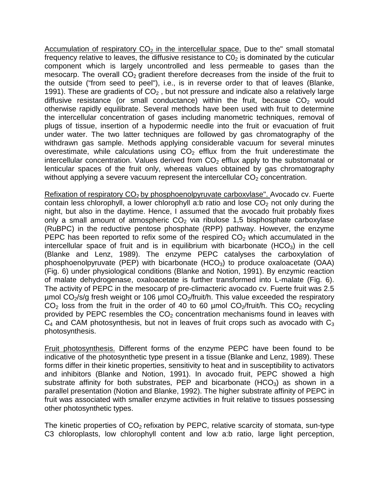Accumulation of respiratory  $CO<sub>2</sub>$  in the intercellular space. Due to the" small stomatal frequency relative to leaves, the diffusive resistance to  $CO<sub>2</sub>$  is dominated by the cuticular component which is largely uncontrolled and less permeable to gases than the mesocarp. The overall  $CO<sub>2</sub>$  gradient therefore decreases from the inside of the fruit to the outside ("from seed to peel"), i.e., is in reverse order to that of leaves (Blanke, 1991). These are gradients of  $CO<sub>2</sub>$ , but not pressure and indicate also a relatively large diffusive resistance (or small conductance) within the fruit, because  $CO<sub>2</sub>$  would otherwise rapidly equilibrate. Several methods have been used with fruit to determine the intercellular concentration of gases including manometric techniques, removal of plugs of tissue, insertion of a hypodermic needle into the fruit or evacuation of fruit under water. The two latter techniques are followed by gas chromatography of the withdrawn gas sample. Methods applying considerable vacuum for several minutes overestimate, while calculations using  $CO<sub>2</sub>$  efflux from the fruit underestimate the intercellular concentration. Values derived from  $CO<sub>2</sub>$  efflux apply to the substomatal or lenticular spaces of the fruit only, whereas values obtained by gas chromatography without applying a severe vacuum represent the intercellular  $CO<sub>2</sub>$  concentration.

Refixation of respiratory  $CO<sub>2</sub>$  by phosphoenolpyruvate carboxvlase". Avocado cv. Fuerte contain less chlorophyll, a lower chlorophyll a:b ratio and lose  $CO<sub>2</sub>$  not only during the night, but also in the daytime. Hence, I assumed that the avocado fruit probably fixes only a small amount of atmospheric  $CO<sub>2</sub>$  via ribulose 1,5 bisphosphate carboxylase (RuBPC) in the reductive pentose phosphate (RPP) pathway. However, the enzyme PEPC has been reported to refix some of the respired  $CO<sub>2</sub>$  which accumulated in the intercellular space of fruit and is in equilibrium with bicarbonate  $(HCO<sub>3</sub>)$  in the cell (Blanke and Lenz, 1989). The enzyme PEPC catalyses the carboxylation of phosphoenolpyruvate (PEP) with bicarbonate (HCO<sub>3</sub>) to produce oxaloacetate (OAA) (Fig. 6) under physiological conditions (Blanke and Notion, 1991). By enzymic reaction of malate dehydrogenase, oxaloacetate is further transformed into L-malate (Fig. 6). The activity of PEPC in the mesocarp of pre-climacteric avocado cv. Fuerte fruit was 2.5 umol  $CO<sub>2</sub>/s/q$  fresh weight or 106 umol  $CO<sub>2</sub>/fruit/h$ . This value exceeded the respiratory  $CO<sub>2</sub>$  loss from the fruit in the order of 40 to 60 µmol  $CO<sub>2</sub>/$ fruit/h. This  $CO<sub>2</sub>$  recycling provided by PEPC resembles the  $CO<sub>2</sub>$  concentration mechanisms found in leaves with  $C_4$  and CAM photosynthesis, but not in leaves of fruit crops such as avocado with  $C_3$ photosynthesis.

Fruit photosynthesis. Different forms of the enzyme PEPC have been found to be indicative of the photosynthetic type present in a tissue (Blanke and Lenz, 1989). These forms differ in their kinetic properties, sensitivity to heat and in susceptibility to activators and inhibitors (Blanke and Notion, 1991). In avocado fruit, PEPC showed a high substrate affinity for both substrates, PEP and bicarbonate (HCO<sub>3</sub>) as shown in a parallel presentation (Notion and Blanke, 1992). The higher substrate affinity of PEPC in fruit was associated with smaller enzyme activities in fruit relative to tissues possessing other photosynthetic types.

The kinetic properties of  $CO<sub>2</sub>$  refixation by PEPC, relative scarcity of stomata, sun-type C3 chloroplasts, low chlorophyll content and low a:b ratio, large light perception,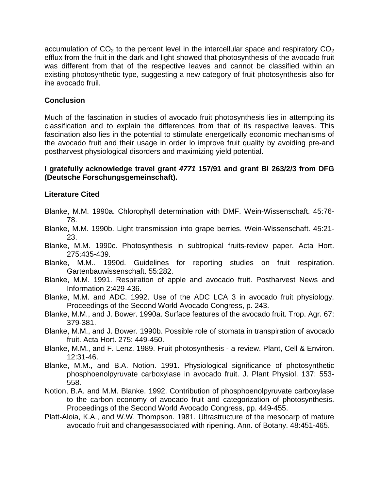accumulation of  $CO<sub>2</sub>$  to the percent level in the intercellular space and respiratory  $CO<sub>2</sub>$ efflux from the fruit in the dark and light showed that photosynthesis of the avocado fruit was different from that of the respective leaves and cannot be classified within an existing photosynthetic type, suggesting a new category of fruit photosynthesis also for ihe avocado fruil.

### **Conclusion**

Much of the fascination in studies of avocado fruit photosynthesis lies in attempting its classification and to explain the differences from that of its respective leaves. This fascination also lies in the potential to stimulate energetically economic mechanisms of the avocado fruit and their usage in order lo improve fruit quality by avoiding pre-and postharvest physiological disorders and maximizing yield potential.

### **I gratefully acknowledge travel grant** *4771* **157/91 and grant Bl 263/2/3 from DFG (Deutsche Forschungsgemeinschaft).**

# **Literature Cited**

- Blanke, M.M. 1990a. Chlorophyll determination with DMF. Wein-Wissenschaft. 45:76- 78.
- Blanke, M.M. 1990b. Light transmission into grape berries. Wein-Wissenschaft. 45:21- 23.
- Blanke, M.M. 1990c. Photosynthesis in subtropical fruits-review paper. Acta Hort. 275:435-439.
- Blanke, M.M.. 1990d. Guidelines for reporting studies on fruit respiration. Gartenbauwissenschaft. 55:282.
- Blanke, M.M. 1991. Respiration of apple and avocado fruit. Postharvest News and Information 2:429-436.
- Blanke, M.M. and ADC. 1992. Use of the ADC LCA 3 in avocado fruit physiology. Proceedings of the Second World Avocado Congress, p. 243.
- Blanke, M.M., and J. Bower. 1990a. Surface features of the avocado fruit. Trop. Agr. 67: 379-381.
- Blanke, M.M., and J. Bower. 1990b. Possible role of stomata in transpiration of avocado fruit. Acta Hort. 275: 449-450.
- Blanke, M.M., and F. Lenz. 1989. Fruit photosynthesis a review. Plant, Cell & Environ. 12:31-46.
- Blanke, M.M., and B.A. Notion. 1991. Physiological significance of photosynthetic phosphoenolpyruvate carboxylase in avocado fruit. J. Plant Physiol. 137: 553- 558.
- Notion, B.A. and M.M. Blanke. 1992. Contribution of phosphoenolpyruvate carboxylase to the carbon economy of avocado fruit and categorization of photosynthesis. Proceedings of the Second World Avocado Congress, pp. 449-455.
- Platt-Aloia, K.A., and W.W. Thompson. 1981. Ultrastructure of the mesocarp of mature avocado fruit and changesassociated with ripening. Ann. of Botany. 48:451-465.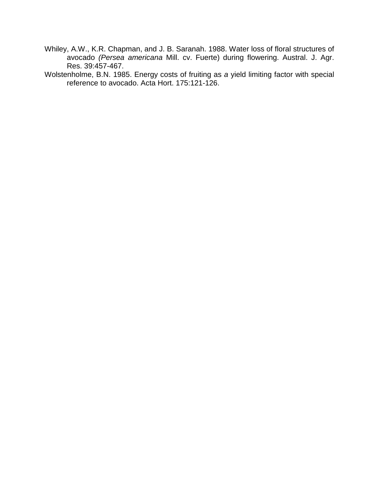- Whiley, A.W., K.R. Chapman, and J. B. Saranah. 1988. Water loss of floral structures of avocado *(Persea americana* Mill. cv. Fuerte) during flowering. Austral. J. Agr. Res. 39:457-467.
- Wolstenholme, B.N. 1985. Energy costs of fruiting as *a* yield limiting factor with special reference to avocado. Acta Hort. 175:121-126.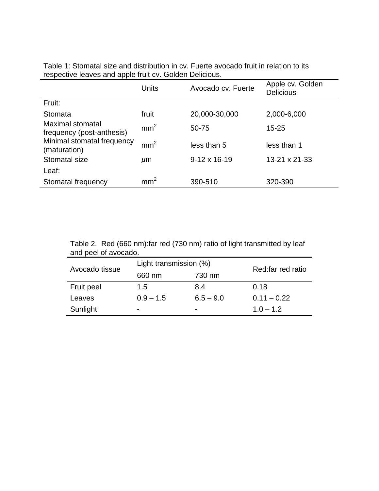|                                               | Units           | Avocado cv. Fuerte  | Apple cv. Golden<br><b>Delicious</b> |
|-----------------------------------------------|-----------------|---------------------|--------------------------------------|
| Fruit:                                        |                 |                     |                                      |
| Stomata                                       | fruit           | 20,000-30,000       | 2,000-6,000                          |
| Maximal stomatal<br>frequency (post-anthesis) | mm <sup>2</sup> | 50-75               | $15 - 25$                            |
| Minimal stomatal frequency<br>(maturation)    | mm <sup>2</sup> | less than 5         | less than 1                          |
| Stomatal size                                 | $\mu$ m         | $9-12 \times 16-19$ | 13-21 x 21-33                        |
| Leaf:                                         |                 |                     |                                      |
| Stomatal frequency                            | mm <sup>2</sup> | 390-510             | 320-390                              |

Table 1: Stomatal size and distribution in cv. Fuerte avocado fruit in relation to its respective leaves and apple fruit cv. Golden Delicious.

> Table 2. Red (660 nm):far red (730 nm) ratio of light transmitted by leaf and peel of avocado.

| Avocado tissue | Light transmission (%)   |             | Red: far red ratio |
|----------------|--------------------------|-------------|--------------------|
|                | 660 nm                   | 730 nm      |                    |
| Fruit peel     | 1.5                      | 8.4         | 0.18               |
| Leaves         | $0.9 - 1.5$              | $6.5 - 9.0$ | $0.11 - 0.22$      |
| Sunlight       | $\overline{\phantom{0}}$ | -           | $1.0 - 1.2$        |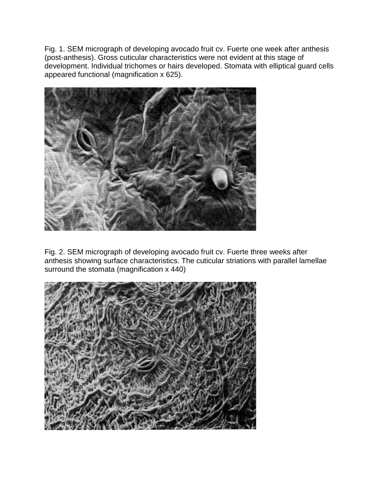Fig. 1. SEM micrograph of developing avocado fruit cv. Fuerte one week after anthesis (post-anthesis). Gross cuticular characteristics were not evident at this stage of development. Individual trichomes or hairs developed. Stomata with elliptical guard cells appeared functional (magnification x 625).



Fig. 2. SEM micrograph of developing avocado fruit cv. Fuerte three weeks after anthesis showing surface characteristics. The cuticular striations with parallel lamellae surround the stomata (magnification x 440)

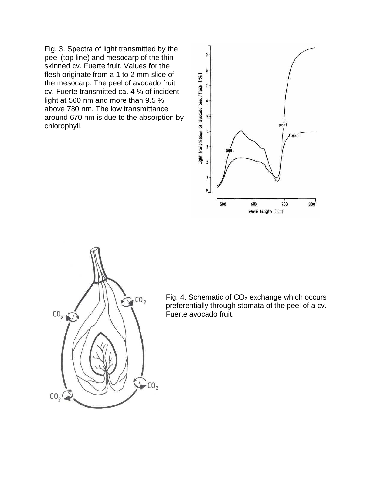Fig. 3. Spectra of light transmitted by the peel (top line) and mesocarp of the thinskinned cv. Fuerte fruit. Values for the flesh originate from a 1 to 2 mm slice of the mesocarp. The peel of avocado fruit cv. Fuerte transmitted ca. 4 % of incident light at 560 nm and more than 9.5 % above 780 nm. The low transmittance around 670 nm is due to the absorption by chlorophyll.





Fig. 4. Schematic of  $CO<sub>2</sub>$  exchange which occurs preferentially through stomata of the peel of a cv. Fuerte avocado fruit.